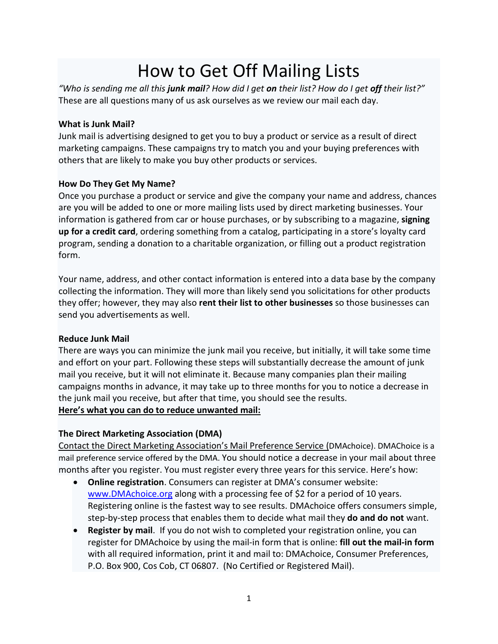# How to Get Off Mailing Lists

*"Who is sending me all this junk mail? How did I get on their list? How do I get off their list?"* These are all questions many of us ask ourselves as we review our mail each day.

## **What is Junk Mail?**

Junk mail is advertising designed to get you to buy a product or service as a result of direct marketing campaigns. These campaigns try to match you and your buying preferences with others that are likely to make you buy other products or services.

# **How Do They Get My Name?**

Once you purchase a product or service and give the company your name and address, chances are you will be added to one or more mailing lists used by direct marketing businesses. Your information is gathered from car or house purchases, or by subscribing to a magazine, **signing up for a credit card**, ordering something from a catalog, participating in a store's loyalty card program, sending a donation to a charitable organization, or filling out a product registration form.

Your name, address, and other contact information is entered into a data base by the company collecting the information. They will more than likely send you solicitations for other products they offer; however, they may also **rent their list to other businesses** so those businesses can send you advertisements as well.

# **Reduce Junk Mail**

There are ways you can minimize the junk mail you receive, but initially, it will take some time and effort on your part. Following these steps will substantially decrease the amount of junk mail you receive, but it will not eliminate it. Because many companies plan their mailing campaigns months in advance, it may take up to three months for you to notice a decrease in the junk mail you receive, but after that time, you should see the results.

# **Here's what you can do to reduce unwanted mail:**

# **The Direct Marketing Association (DMA)**

Contact the Direct Marketing Association's Mail Preference Service [\(DMAchoice\). DMAChoice](https://www.dmachoice.org/register.php) is a [mail preference service offered by the DMA.](https://www.dmachoice.org/register.php) You should notice a decrease in your mail about three months after you register. You must register every three years for this service. Here's how:

- **Online registration**. Consumers can register at DMA's consumer website: [www.DMAchoice.org](http://www.dmachoice.org/) along with a processing fee of \$2 for a period of 10 years. Registering online is the fastest way to see results. DMAchoice offers consumers simple, step-by-step process that enables them to decide what mail they **do and do not** want.
- **Register by mail.** If you do not wish to completed your registration online, you can register for DMAchoice by using the mail-in form that is online: **fill out the mail-in form**  with all required information, print it and mail to: DMAchoice, Consumer Preferences, P.O. Box 900, Cos Cob, CT 06807. (No Certified or Registered Mail).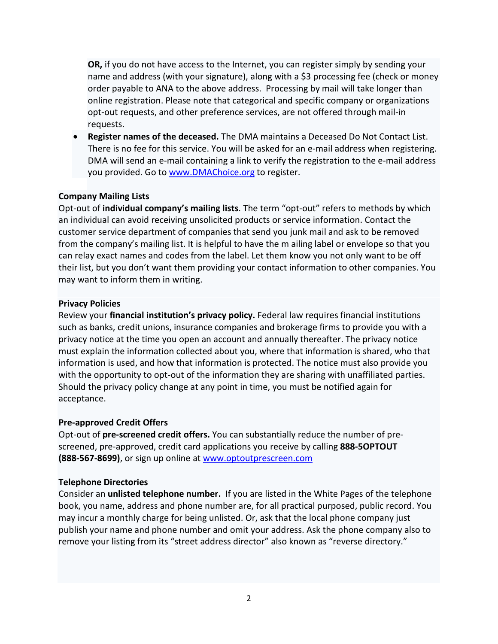**OR,** if you do not have access to the Internet, you can register simply by sending your name and address (with your signature), along with a \$3 processing fee (check or money order payable to ANA to the above address. Processing by mail will take longer than online registration. Please note that categorical and specific company or organizations opt-out requests, and other preference services, are not offered through mail-in requests.

• **Register names of the deceased.** The DMA maintains a Deceased Do Not Contact List. There is no fee for this service. You will be asked for an e-mail address when registering. DMA will send an e-mail containing a link to verify the registration to the e-mail address you provided. Go to [www.DMAChoice.org](http://www.dmachoice.org/) to register.

### **Company Mailing Lists**

Opt-out of **individual company's mailing lists**. The term "opt-out" refers to methods by which an individual can avoid receiving unsolicited products or service information. Contact the customer service department of companies that send you junk mail and ask to be removed from the company's mailing list. It is helpful to have the m ailing label or envelope so that you can relay exact names and codes from the label. Let them know you not only want to be off their list, but you don't want them providing your contact information to other companies. You may want to inform them in writing.

#### **Privacy Policies**

Review your **financial institution's privacy policy.** Federal law requires financial institutions such as banks, credit unions, insurance companies and brokerage firms to provide you with a privacy notice at the time you open an account and annually thereafter. The privacy notice must explain the information collected about you, where that information is shared, who that information is used, and how that information is protected. The notice must also provide you with the opportunity to opt-out of the information they are sharing with unaffiliated parties. Should the privacy policy change at any point in time, you must be notified again for acceptance.

#### **Pre-approved Credit Offers**

Opt-out of **pre-screened credit offers.** You can substantially reduce the number of prescreened, pre-approved, credit card applications you receive by calling **888-5OPTOUT (888-567-8699)**, or sign up online at [www.optoutprescreen.com](http://www.optoutprescreen.com/)

#### **Telephone Directories**

Consider an **unlisted telephone number.** If you are listed in the White Pages of the telephone book, you name, address and phone number are, for all practical purposed, public record. You may incur a monthly charge for being unlisted. Or, ask that the local phone company just publish your name and phone number and omit your address. Ask the phone company also to remove your listing from its "street address director" also known as "reverse directory."